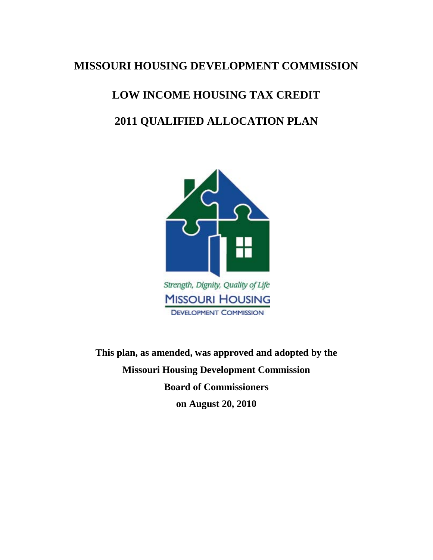## **MISSOURI HOUSING DEVELOPMENT COMMISSION**

# **LOW INCOME HOUSING TAX CREDIT 2011 QUALIFIED ALLOCATION PLAN**



**This plan, as amended, was approved and adopted by the Missouri Housing Development Commission Board of Commissioners on August 20, 2010**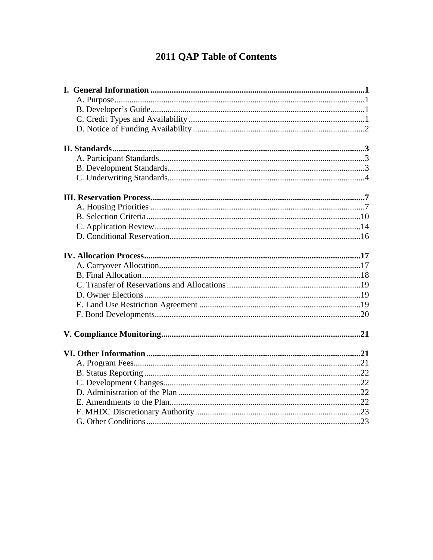## 2011 QAP Table of Contents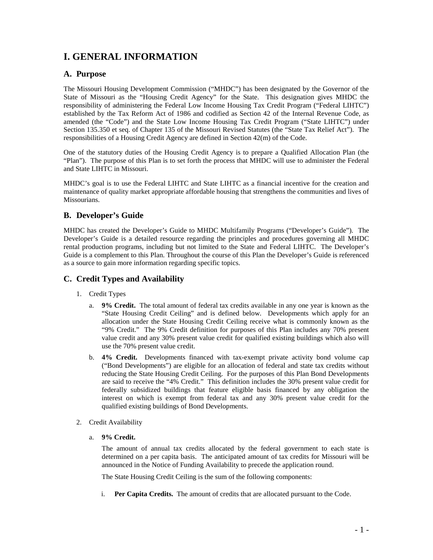## **I. GENERAL INFORMATION**

## **A. Purpose**

The Missouri Housing Development Commission ("MHDC") has been designated by the Governor of the State of Missouri as the "Housing Credit Agency" for the State. This designation gives MHDC the responsibility of administering the Federal Low Income Housing Tax Credit Program ("Federal LIHTC") established by the Tax Reform Act of 1986 and codified as Section 42 of the Internal Revenue Code, as amended (the "Code") and the State Low Income Housing Tax Credit Program ("State LIHTC") under Section 135.350 et seq. of Chapter 135 of the Missouri Revised Statutes (the "State Tax Relief Act"). The responsibilities of a Housing Credit Agency are defined in Section 42(m) of the Code.

One of the statutory duties of the Housing Credit Agency is to prepare a Qualified Allocation Plan (the "Plan"). The purpose of this Plan is to set forth the process that MHDC will use to administer the Federal and State LIHTC in Missouri.

MHDC's goal is to use the Federal LIHTC and State LIHTC as a financial incentive for the creation and maintenance of quality market appropriate affordable housing that strengthens the communities and lives of Missourians.

## **B. Developer's Guide**

MHDC has created the Developer's Guide to MHDC Multifamily Programs ("Developer's Guide"). The Developer's Guide is a detailed resource regarding the principles and procedures governing all MHDC rental production programs, including but not limited to the State and Federal LIHTC. The Developer's Guide is a complement to this Plan. Throughout the course of this Plan the Developer's Guide is referenced as a source to gain more information regarding specific topics.

## **C. Credit Types and Availability**

- 1. Credit Types
	- a. **9% Credit.** The total amount of federal tax credits available in any one year is known as the "State Housing Credit Ceiling" and is defined below. Developments which apply for an allocation under the State Housing Credit Ceiling receive what is commonly known as the "9% Credit." The 9% Credit definition for purposes of this Plan includes any 70% present value credit and any 30% present value credit for qualified existing buildings which also will use the 70% present value credit.
	- b. **4% Credit.** Developments financed with tax-exempt private activity bond volume cap ("Bond Developments") are eligible for an allocation of federal and state tax credits without reducing the State Housing Credit Ceiling. For the purposes of this Plan Bond Developments are said to receive the "4% Credit." This definition includes the 30% present value credit for federally subsidized buildings that feature eligible basis financed by any obligation the interest on which is exempt from federal tax and any 30% present value credit for the qualified existing buildings of Bond Developments.
- 2. Credit Availability
	- a. **9% Credit.**

The amount of annual tax credits allocated by the federal government to each state is determined on a per capita basis. The anticipated amount of tax credits for Missouri will be announced in the Notice of Funding Availability to precede the application round.

The State Housing Credit Ceiling is the sum of the following components:

i. **Per Capita Credits.** The amount of credits that are allocated pursuant to the Code.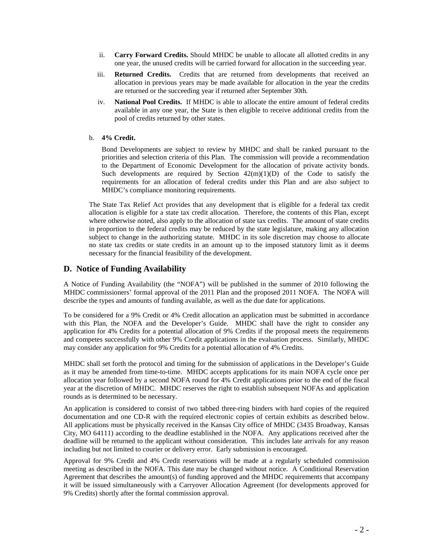- ii. **Carry Forward Credits.** Should MHDC be unable to allocate all allotted credits in any one year, the unused credits will be carried forward for allocation in the succeeding year.
- iii. **Returned Credits.** Credits that are returned from developments that received an allocation in previous years may be made available for allocation in the year the credits are returned or the succeeding year if returned after September 30th.
- iv. **National Pool Credits.** If MHDC is able to allocate the entire amount of federal credits available in any one year, the State is then eligible to receive additional credits from the pool of credits returned by other states.

#### b. **4% Credit.**

Bond Developments are subject to review by MHDC and shall be ranked pursuant to the priorities and selection criteria of this Plan. The commission will provide a recommendation to the Department of Economic Development for the allocation of private activity bonds. Such developments are required by Section  $42(m)(1)(D)$  of the Code to satisfy the requirements for an allocation of federal credits under this Plan and are also subject to MHDC's compliance monitoring requirements.

The State Tax Relief Act provides that any development that is eligible for a federal tax credit allocation is eligible for a state tax credit allocation. Therefore, the contents of this Plan, except where otherwise noted, also apply to the allocation of state tax credits. The amount of state credits in proportion to the federal credits may be reduced by the state legislature, making any allocation subject to change in the authorizing statute. MHDC in its sole discretion may choose to allocate no state tax credits or state credits in an amount up to the imposed statutory limit as it deems necessary for the financial feasibility of the development.

## **D. Notice of Funding Availability**

A Notice of Funding Availability (the "NOFA") will be published in the summer of 2010 following the MHDC commissioners' formal approval of the 2011 Plan and the proposed 2011 NOFA. The NOFA will describe the types and amounts of funding available, as well as the due date for applications.

To be considered for a 9% Credit or 4% Credit allocation an application must be submitted in accordance with this Plan, the NOFA and the Developer's Guide. MHDC shall have the right to consider any application for 4% Credits for a potential allocation of 9% Credits if the proposal meets the requirements and competes successfully with other 9% Credit applications in the evaluation process. Similarly, MHDC may consider any application for 9% Credits for a potential allocation of 4% Credits.

MHDC shall set forth the protocol and timing for the submission of applications in the Developer's Guide as it may be amended from time-to-time. MHDC accepts applications for its main NOFA cycle once per allocation year followed by a second NOFA round for 4% Credit applications prior to the end of the fiscal year at the discretion of MHDC. MHDC reserves the right to establish subsequent NOFAs and application rounds as is determined to be necessary.

An application is considered to consist of two tabbed three-ring binders with hard copies of the required documentation and one CD-R with the required electronic copies of certain exhibits as described below. All applications must be physically received in the Kansas City office of MHDC (3435 Broadway, Kansas City, MO 64111) according to the deadline established in the NOFA. Any applications received after the deadline will be returned to the applicant without consideration. This includes late arrivals for any reason including but not limited to courier or delivery error. Early submission is encouraged.

Approval for 9% Credit and 4% Credit reservations will be made at a regularly scheduled commission meeting as described in the NOFA. This date may be changed without notice. A Conditional Reservation Agreement that describes the amount(s) of funding approved and the MHDC requirements that accompany it will be issued simultaneously with a Carryover Allocation Agreement (for developments approved for 9% Credits) shortly after the formal commission approval.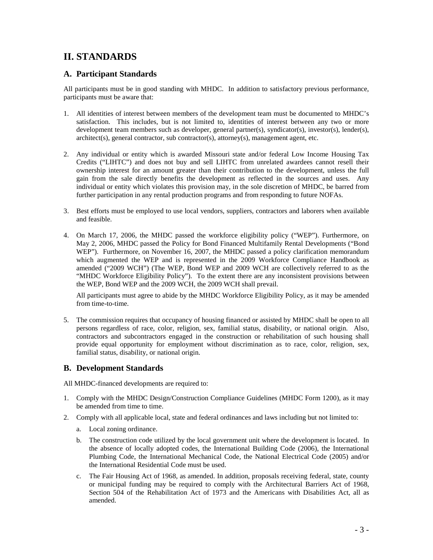## **II. STANDARDS**

## **A. Participant Standards**

All participants must be in good standing with MHDC. In addition to satisfactory previous performance, participants must be aware that:

- 1. All identities of interest between members of the development team must be documented to MHDC's satisfaction. This includes, but is not limited to, identities of interest between any two or more development team members such as developer, general partner(s), syndicator(s), investor(s), lender(s), architect(s), general contractor, sub contractor(s), attorney(s), management agent, etc.
- 2. Any individual or entity which is awarded Missouri state and/or federal Low Income Housing Tax Credits ("LIHTC") and does not buy and sell LIHTC from unrelated awardees cannot resell their ownership interest for an amount greater than their contribution to the development, unless the full gain from the sale directly benefits the development as reflected in the sources and uses. Any individual or entity which violates this provision may, in the sole discretion of MHDC, be barred from further participation in any rental production programs and from responding to future NOFAs.
- 3. Best efforts must be employed to use local vendors, suppliers, contractors and laborers when available and feasible.
- 4. On March 17, 2006, the MHDC passed the workforce eligibility policy ("WEP"). Furthermore, on May 2, 2006, MHDC passed the Policy for Bond Financed Multifamily Rental Developments ("Bond WEP"). Furthermore, on November 16, 2007, the MHDC passed a policy clarification memorandum which augmented the WEP and is represented in the 2009 Workforce Compliance Handbook as amended ("2009 WCH") (The WEP, Bond WEP and 2009 WCH are collectively referred to as the "MHDC Workforce Eligibility Policy"). To the extent there are any inconsistent provisions between the WEP, Bond WEP and the 2009 WCH, the 2009 WCH shall prevail.

All participants must agree to abide by the MHDC Workforce Eligibility Policy, as it may be amended from time-to-time.

5. The commission requires that occupancy of housing financed or assisted by MHDC shall be open to all persons regardless of race, color, religion, sex, familial status, disability, or national origin. Also, contractors and subcontractors engaged in the construction or rehabilitation of such housing shall provide equal opportunity for employment without discrimination as to race, color, religion, sex, familial status, disability, or national origin.

## **B. Development Standards**

All MHDC-financed developments are required to:

- 1. Comply with the MHDC Design/Construction Compliance Guidelines (MHDC Form 1200), as it may be amended from time to time.
- 2. Comply with all applicable local, state and federal ordinances and laws including but not limited to:
	- a. Local zoning ordinance.
	- b. The construction code utilized by the local government unit where the development is located. In the absence of locally adopted codes, the International Building Code (2006), the International Plumbing Code, the International Mechanical Code, the National Electrical Code (2005) and/or the International Residential Code must be used.
	- c. The Fair Housing Act of 1968, as amended. In addition, proposals receiving federal, state, county or municipal funding may be required to comply with the Architectural Barriers Act of 1968, Section 504 of the Rehabilitation Act of 1973 and the Americans with Disabilities Act, all as amended.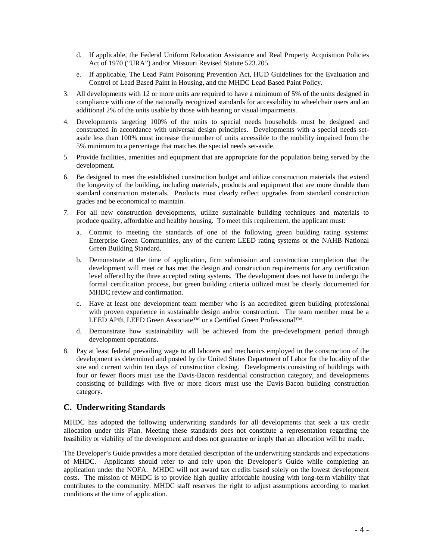- d. If applicable, the Federal Uniform Relocation Assistance and Real Property Acquisition Policies Act of 1970 ("URA") and/or Missouri Revised Statute 523.205.
- e. If applicable, The Lead Paint Poisoning Prevention Act, HUD Guidelines for the Evaluation and Control of Lead Based Paint in Housing, and the MHDC Lead Based Paint Policy.
- 3. All developments with 12 or more units are required to have a minimum of 5% of the units designed in compliance with one of the nationally recognized standards for accessibility to wheelchair users and an additional 2% of the units usable by those with hearing or visual impairments.
- 4. Developments targeting 100% of the units to special needs households must be designed and constructed in accordance with universal design principles. Developments with a special needs setaside less than 100% must increase the number of units accessible to the mobility impaired from the 5% minimum to a percentage that matches the special needs set-aside.
- 5. Provide facilities, amenities and equipment that are appropriate for the population being served by the development.
- 6. Be designed to meet the established construction budget and utilize construction materials that extend the longevity of the building, including materials, products and equipment that are more durable than standard construction materials. Products must clearly reflect upgrades from standard construction grades and be economical to maintain.
- 7. For all new construction developments, utilize sustainable building techniques and materials to produce quality, affordable and healthy housing. To meet this requirement, the applicant must:
	- a. Commit to meeting the standards of one of the following green building rating systems: Enterprise Green Communities, any of the current LEED rating systems or the NAHB National Green Building Standard.
	- b. Demonstrate at the time of application, firm submission and construction completion that the development will meet or has met the design and construction requirements for any certification level offered by the three accepted rating systems. The development does not have to undergo the formal certification process, but green building criteria utilized must be clearly documented for MHDC review and confirmation.
	- c. Have at least one development team member who is an accredited green building professional with proven experience in sustainable design and/or construction. The team member must be a LEED AP®, LEED Green Associate<sup>™</sup> or a Certified Green Professional™.
	- d. Demonstrate how sustainability will be achieved from the pre-development period through development operations.
- 8. Pay at least federal prevailing wage to all laborers and mechanics employed in the construction of the development as determined and posted by the United States Department of Labor for the locality of the site and current within ten days of construction closing. Developments consisting of buildings with four or fewer floors must use the Davis-Bacon residential construction category, and developments consisting of buildings with five or more floors must use the Davis-Bacon building construction category.

### **C. Underwriting Standards**

MHDC has adopted the following underwriting standards for all developments that seek a tax credit allocation under this Plan. Meeting these standards does not constitute a representation regarding the feasibility or viability of the development and does not guarantee or imply that an allocation will be made.

The Developer's Guide provides a more detailed description of the underwriting standards and expectations of MHDC. Applicants should refer to and rely upon the Developer's Guide while completing an application under the NOFA. MHDC will not award tax credits based solely on the lowest development costs. The mission of MHDC is to provide high quality affordable housing with long-term viability that contributes to the community. MHDC staff reserves the right to adjust assumptions according to market conditions at the time of application.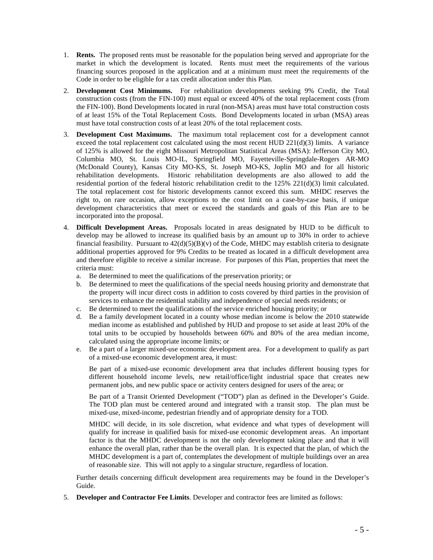- 1. **Rents.** The proposed rents must be reasonable for the population being served and appropriate for the market in which the development is located. Rents must meet the requirements of the various financing sources proposed in the application and at a minimum must meet the requirements of the Code in order to be eligible for a tax credit allocation under this Plan.
- 2. **Development Cost Minimums.** For rehabilitation developments seeking 9% Credit, the Total construction costs (from the FIN-100) must equal or exceed 40% of the total replacement costs (from the FIN-100). Bond Developments located in rural (non-MSA) areas must have total construction costs of at least 15% of the Total Replacement Costs. Bond Developments located in urban (MSA) areas must have total construction costs of at least 20% of the total replacement costs.
- 3. **Development Cost Maximums.** The maximum total replacement cost for a development cannot exceed the total replacement cost calculated using the most recent HUD 221(d)(3) limits. A variance of 125% is allowed for the eight Missouri Metropolitan Statistical Areas (MSA): Jefferson City MO, Columbia MO, St. Louis MO-IL, Springfield MO, Fayetteville-Springdale-Rogers AR-MO (McDonald County), Kansas City MO-KS, St. Joseph MO-KS, Joplin MO and for all historic rehabilitation developments. Historic rehabilitation developments are also allowed to add the residential portion of the federal historic rehabilitation credit to the  $125\%$  221(d)(3) limit calculated. The total replacement cost for historic developments cannot exceed this sum. MHDC reserves the right to, on rare occasion, allow exceptions to the cost limit on a case-by-case basis, if unique development characteristics that meet or exceed the standards and goals of this Plan are to be incorporated into the proposal.
- 4. **Difficult Development Areas.** Proposals located in areas designated by HUD to be difficult to develop may be allowed to increase its qualified basis by an amount up to 30% in order to achieve financial feasibility. Pursuant to  $42(d)(5)(B)(v)$  of the Code, MHDC may establish criteria to designate additional properties approved for 9% Credits to be treated as located in a difficult development area and therefore eligible to receive a similar increase. For purposes of this Plan, properties that meet the criteria must:
	- a. Be determined to meet the qualifications of the preservation priority; or
	- b. Be determined to meet the qualifications of the special needs housing priority and demonstrate that the property will incur direct costs in addition to costs covered by third parties in the provision of services to enhance the residential stability and independence of special needs residents; or
	- c. Be determined to meet the qualifications of the service enriched housing priority; or
	- d. Be a family development located in a county whose median income is below the 2010 statewide median income as established and published by HUD and propose to set aside at least 20% of the total units to be occupied by households between 60% and 80% of the area median income, calculated using the appropriate income limits; or
	- e. Be a part of a larger mixed-use economic development area. For a development to qualify as part of a mixed-use economic development area, it must:

Be part of a mixed-use economic development area that includes different housing types for different household income levels, new retail/office/light industrial space that creates new permanent jobs, and new public space or activity centers designed for users of the area; or

Be part of a Transit Oriented Development ("TOD") plan as defined in the Developer's Guide. The TOD plan must be centered around and integrated with a transit stop. The plan must be mixed-use, mixed-income, pedestrian friendly and of appropriate density for a TOD.

MHDC will decide, in its sole discretion, what evidence and what types of development will qualify for increase in qualified basis for mixed-use economic development areas. An important factor is that the MHDC development is not the only development taking place and that it will enhance the overall plan, rather than be the overall plan. It is expected that the plan, of which the MHDC development is a part of, contemplates the development of multiple buildings over an area of reasonable size. This will not apply to a singular structure, regardless of location.

Further details concerning difficult development area requirements may be found in the Developer's Guide.

5. **Developer and Contractor Fee Limits**. Developer and contractor fees are limited as follows: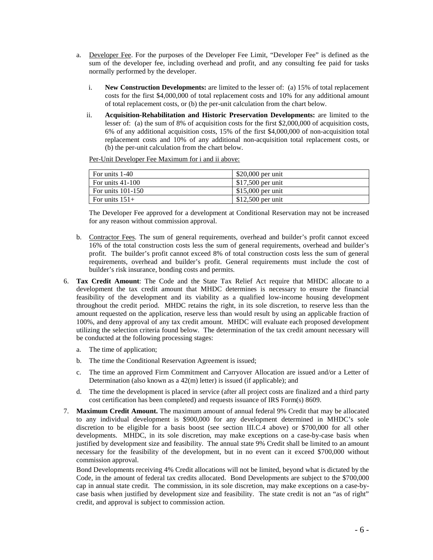- a. Developer Fee. For the purposes of the Developer Fee Limit, "Developer Fee" is defined as the sum of the developer fee, including overhead and profit, and any consulting fee paid for tasks normally performed by the developer.
	- i. **New Construction Developments:** are limited to the lesser of: (a) 15% of total replacement costs for the first \$4,000,000 of total replacement costs and 10% for any additional amount of total replacement costs, or (b) the per-unit calculation from the chart below.
	- ii. **Acquisition-Rehabilitation and Historic Preservation Developments:** are limited to the lesser of: (a) the sum of 8% of acquisition costs for the first \$2,000,000 of acquisition costs, 6% of any additional acquisition costs, 15% of the first \$4,000,000 of non-acquisition total replacement costs and 10% of any additional non-acquisition total replacement costs, or (b) the per-unit calculation from the chart below.

Per-Unit Developer Fee Maximum for i and ii above:

| For units 1-40      | $$20,000$ per unit |
|---------------------|--------------------|
| For units $41-100$  | $$17,500$ per unit |
| For units $101-150$ | $$15,000$ per unit |
| For units $151+$    | $$12,500$ per unit |

The Developer Fee approved for a development at Conditional Reservation may not be increased for any reason without commission approval.

- b. Contractor Fees. The sum of general requirements, overhead and builder's profit cannot exceed 16% of the total construction costs less the sum of general requirements, overhead and builder's profit. The builder's profit cannot exceed 8% of total construction costs less the sum of general requirements, overhead and builder's profit. General requirements must include the cost of builder's risk insurance, bonding costs and permits.
- 6. **Tax Credit Amount**: The Code and the State Tax Relief Act require that MHDC allocate to a development the tax credit amount that MHDC determines is necessary to ensure the financial feasibility of the development and its viability as a qualified low-income housing development throughout the credit period. MHDC retains the right, in its sole discretion, to reserve less than the amount requested on the application, reserve less than would result by using an applicable fraction of 100%, and deny approval of any tax credit amount. MHDC will evaluate each proposed development utilizing the selection criteria found below. The determination of the tax credit amount necessary will be conducted at the following processing stages:
	- a. The time of application;
	- b. The time the Conditional Reservation Agreement is issued;
	- c. The time an approved Firm Commitment and Carryover Allocation are issued and/or a Letter of Determination (also known as a 42(m) letter) is issued (if applicable); and
	- d. The time the development is placed in service (after all project costs are finalized and a third party cost certification has been completed) and requests issuance of IRS Form(s) 8609.
- 7. **Maximum Credit Amount.** The maximum amount of annual federal 9% Credit that may be allocated to any individual development is \$900,000 for any development determined in MHDC's sole discretion to be eligible for a basis boost (see section III.C.4 above) or \$700,000 for all other developments. MHDC, in its sole discretion, may make exceptions on a case-by-case basis when justified by development size and feasibility. The annual state 9% Credit shall be limited to an amount necessary for the feasibility of the development, but in no event can it exceed \$700,000 without commission approval.

Bond Developments receiving 4% Credit allocations will not be limited, beyond what is dictated by the Code, in the amount of federal tax credits allocated. Bond Developments are subject to the \$700,000 cap in annual state credit. The commission, in its sole discretion, may make exceptions on a case-bycase basis when justified by development size and feasibility. The state credit is not an "as of right" credit, and approval is subject to commission action.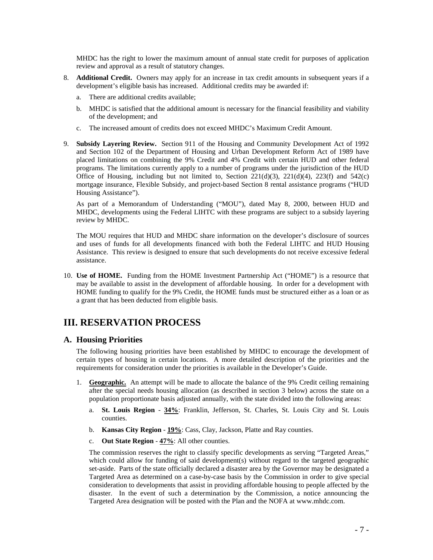MHDC has the right to lower the maximum amount of annual state credit for purposes of application review and approval as a result of statutory changes.

- 8. **Additional Credit.** Owners may apply for an increase in tax credit amounts in subsequent years if a development's eligible basis has increased. Additional credits may be awarded if:
	- a. There are additional credits available;
	- b. MHDC is satisfied that the additional amount is necessary for the financial feasibility and viability of the development; and
	- c. The increased amount of credits does not exceed MHDC's Maximum Credit Amount.
- 9. **Subsidy Layering Review.** Section 911 of the Housing and Community Development Act of 1992 and Section 102 of the Department of Housing and Urban Development Reform Act of 1989 have placed limitations on combining the 9% Credit and 4% Credit with certain HUD and other federal programs. The limitations currently apply to a number of programs under the jurisdiction of the HUD Office of Housing, including but not limited to, Section  $221(d)(3)$ ,  $221(d)(4)$ ,  $223(f)$  and  $542(c)$ mortgage insurance, Flexible Subsidy, and project-based Section 8 rental assistance programs ("HUD Housing Assistance").

As part of a Memorandum of Understanding ("MOU"), dated May 8, 2000, between HUD and MHDC, developments using the Federal LIHTC with these programs are subject to a subsidy layering review by MHDC.

The MOU requires that HUD and MHDC share information on the developer's disclosure of sources and uses of funds for all developments financed with both the Federal LIHTC and HUD Housing Assistance. This review is designed to ensure that such developments do not receive excessive federal assistance.

10. **Use of HOME.** Funding from the HOME Investment Partnership Act ("HOME") is a resource that may be available to assist in the development of affordable housing. In order for a development with HOME funding to qualify for the 9% Credit, the HOME funds must be structured either as a loan or as a grant that has been deducted from eligible basis.

## **III. RESERVATION PROCESS**

#### **A. Housing Priorities**

The following housing priorities have been established by MHDC to encourage the development of certain types of housing in certain locations. A more detailed description of the priorities and the requirements for consideration under the priorities is available in the Developer's Guide.

- 1. **Geographic.** An attempt will be made to allocate the balance of the 9% Credit ceiling remaining after the special needs housing allocation (as described in section 3 below) across the state on a population proportionate basis adjusted annually, with the state divided into the following areas:
	- a. **St. Louis Region 34%**: Franklin, Jefferson, St. Charles, St. Louis City and St. Louis counties.
	- b. **Kansas City Region 19%**: Cass, Clay, Jackson, Platte and Ray counties.
	- c. **Out State Region 47%**: All other counties.

The commission reserves the right to classify specific developments as serving "Targeted Areas," which could allow for funding of said development(s) without regard to the targeted geographic set-aside. Parts of the state officially declared a disaster area by the Governor may be designated a Targeted Area as determined on a case-by-case basis by the Commission in order to give special consideration to developments that assist in providing affordable housing to people affected by the disaster. In the event of such a determination by the Commission, a notice announcing the Targeted Area designation will be posted with the Plan and the NOFA at www.mhdc.com.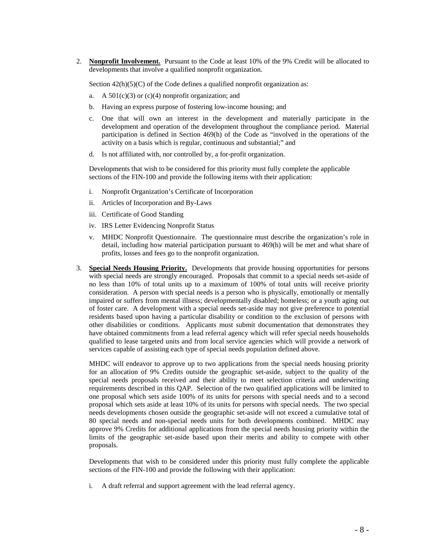2. **Nonprofit Involvement.** Pursuant to the Code at least 10% of the 9% Credit will be allocated to developments that involve a qualified nonprofit organization.

Section  $42(h)(5)(C)$  of the Code defines a qualified nonprofit organization as:

- a. A  $501(c)(3)$  or  $(c)(4)$  nonprofit organization; and
- b. Having an express purpose of fostering low-income housing; and
- c. One that will own an interest in the development and materially participate in the development and operation of the development throughout the compliance period. Material participation is defined in Section 469(h) of the Code as "involved in the operations of the activity on a basis which is regular, continuous and substantial;" and
- d. Is not affiliated with, nor controlled by, a for-profit organization.

Developments that wish to be considered for this priority must fully complete the applicable sections of the FIN-100 and provide the following items with their application:

- i. Nonprofit Organization's Certificate of Incorporation
- ii. Articles of Incorporation and By-Laws
- iii. Certificate of Good Standing
- iv. IRS Letter Evidencing Nonprofit Status
- v. MHDC Nonprofit Questionnaire. The questionnaire must describe the organization's role in detail, including how material participation pursuant to 469(h) will be met and what share of profits, losses and fees go to the nonprofit organization.
- 3. **Special Needs Housing Priority.** Developments that provide housing opportunities for persons with special needs are strongly encouraged. Proposals that commit to a special needs set-aside of no less than 10% of total units up to a maximum of 100% of total units will receive priority consideration. A person with special needs is a person who is physically, emotionally or mentally impaired or suffers from mental illness; developmentally disabled; homeless; or a youth aging out of foster care. A development with a special needs set-aside may not give preference to potential residents based upon having a particular disability or condition to the exclusion of persons with other disabilities or conditions. Applicants must submit documentation that demonstrates they have obtained commitments from a lead referral agency which will refer special needs households qualified to lease targeted units and from local service agencies which will provide a network of services capable of assisting each type of special needs population defined above.

MHDC will endeavor to approve up to two applications from the special needs housing priority for an allocation of 9% Credits outside the geographic set-aside, subject to the quality of the special needs proposals received and their ability to meet selection criteria and underwriting requirements described in this QAP. Selection of the two qualified applications will be limited to one proposal which sets aside 100% of its units for persons with special needs and to a second proposal which sets aside at least 10% of its units for persons with special needs. The two special needs developments chosen outside the geographic set-aside will not exceed a cumulative total of 80 special needs and non-special needs units for both developments combined. MHDC may approve 9% Credits for additional applications from the special needs housing priority within the limits of the geographic set-aside based upon their merits and ability to compete with other proposals.

Developments that wish to be considered under this priority must fully complete the applicable sections of the FIN-100 and provide the following with their application:

i. A draft referral and support agreement with the lead referral agency.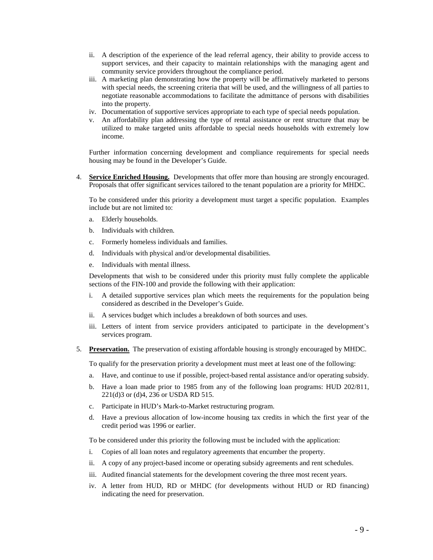- ii. A description of the experience of the lead referral agency, their ability to provide access to support services, and their capacity to maintain relationships with the managing agent and community service providers throughout the compliance period.
- iii. A marketing plan demonstrating how the property will be affirmatively marketed to persons with special needs, the screening criteria that will be used, and the willingness of all parties to negotiate reasonable accommodations to facilitate the admittance of persons with disabilities into the property.
- iv. Documentation of supportive services appropriate to each type of special needs population.
- v. An affordability plan addressing the type of rental assistance or rent structure that may be utilized to make targeted units affordable to special needs households with extremely low income.

Further information concerning development and compliance requirements for special needs housing may be found in the Developer's Guide.

4. **Service Enriched Housing.** Developments that offer more than housing are strongly encouraged. Proposals that offer significant services tailored to the tenant population are a priority for MHDC.

To be considered under this priority a development must target a specific population. Examples include but are not limited to:

- a. Elderly households.
- b. Individuals with children.
- c. Formerly homeless individuals and families.
- d. Individuals with physical and/or developmental disabilities.
- e. Individuals with mental illness.

Developments that wish to be considered under this priority must fully complete the applicable sections of the FIN-100 and provide the following with their application:

- i. A detailed supportive services plan which meets the requirements for the population being considered as described in the Developer's Guide.
- ii. A services budget which includes a breakdown of both sources and uses.
- iii. Letters of intent from service providers anticipated to participate in the development's services program.
- 5. **Preservation.** The preservation of existing affordable housing is strongly encouraged by MHDC.

To qualify for the preservation priority a development must meet at least one of the following:

- a. Have, and continue to use if possible, project-based rental assistance and/or operating subsidy.
- b. Have a loan made prior to 1985 from any of the following loan programs: HUD 202/811, 221(d)3 or (d)4, 236 or USDA RD 515.
- c. Participate in HUD's Mark-to-Market restructuring program.
- d. Have a previous allocation of low-income housing tax credits in which the first year of the credit period was 1996 or earlier.

To be considered under this priority the following must be included with the application:

- i. Copies of all loan notes and regulatory agreements that encumber the property.
- ii. A copy of any project-based income or operating subsidy agreements and rent schedules.
- iii. Audited financial statements for the development covering the three most recent years.
- iv. A letter from HUD, RD or MHDC (for developments without HUD or RD financing) indicating the need for preservation.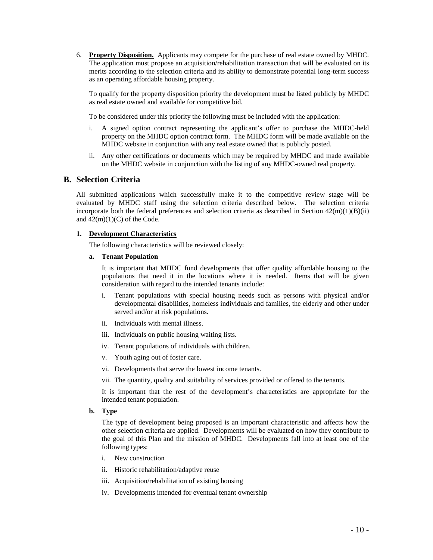6. **Property Disposition.** Applicants may compete for the purchase of real estate owned by MHDC. The application must propose an acquisition/rehabilitation transaction that will be evaluated on its merits according to the selection criteria and its ability to demonstrate potential long-term success as an operating affordable housing property.

To qualify for the property disposition priority the development must be listed publicly by MHDC as real estate owned and available for competitive bid.

To be considered under this priority the following must be included with the application:

- i. A signed option contract representing the applicant's offer to purchase the MHDC-held property on the MHDC option contract form. The MHDC form will be made available on the MHDC website in conjunction with any real estate owned that is publicly posted.
- ii. Any other certifications or documents which may be required by MHDC and made available on the MHDC website in conjunction with the listing of any MHDC-owned real property.

### **B. Selection Criteria**

All submitted applications which successfully make it to the competitive review stage will be evaluated by MHDC staff using the selection criteria described below. The selection criteria incorporate both the federal preferences and selection criteria as described in Section  $42(m)(1)(B)(ii)$ and  $42(m)(1)(C)$  of the Code.

#### **1. Development Characteristics**

The following characteristics will be reviewed closely:

**a. Tenant Population**

It is important that MHDC fund developments that offer quality affordable housing to the populations that need it in the locations where it is needed. Items that will be given consideration with regard to the intended tenants include:

- i. Tenant populations with special housing needs such as persons with physical and/or developmental disabilities, homeless individuals and families, the elderly and other under served and/or at risk populations.
- ii. Individuals with mental illness.
- iii. Individuals on public housing waiting lists.
- iv. Tenant populations of individuals with children.
- v. Youth aging out of foster care.
- vi. Developments that serve the lowest income tenants.
- vii. The quantity, quality and suitability of services provided or offered to the tenants.

It is important that the rest of the development's characteristics are appropriate for the intended tenant population.

**b. Type** 

The type of development being proposed is an important characteristic and affects how the other selection criteria are applied. Developments will be evaluated on how they contribute to the goal of this Plan and the mission of MHDC. Developments fall into at least one of the following types:

- i. New construction
- ii. Historic rehabilitation/adaptive reuse
- iii. Acquisition/rehabilitation of existing housing
- iv. Developments intended for eventual tenant ownership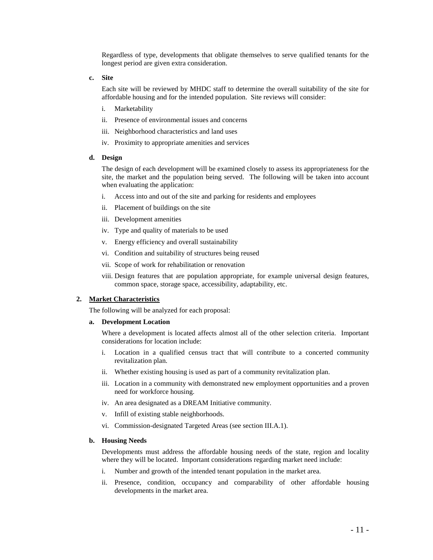Regardless of type, developments that obligate themselves to serve qualified tenants for the longest period are given extra consideration.

**c. Site** 

Each site will be reviewed by MHDC staff to determine the overall suitability of the site for affordable housing and for the intended population. Site reviews will consider:

- i. Marketability
- ii. Presence of environmental issues and concerns
- iii. Neighborhood characteristics and land uses
- iv. Proximity to appropriate amenities and services

#### **d. Design**

The design of each development will be examined closely to assess its appropriateness for the site, the market and the population being served. The following will be taken into account when evaluating the application:

- i. Access into and out of the site and parking for residents and employees
- ii. Placement of buildings on the site
- iii. Development amenities
- iv. Type and quality of materials to be used
- v. Energy efficiency and overall sustainability
- vi. Condition and suitability of structures being reused
- vii. Scope of work for rehabilitation or renovation
- viii. Design features that are population appropriate, for example universal design features, common space, storage space, accessibility, adaptability, etc.

#### **2. Market Characteristics**

The following will be analyzed for each proposal:

#### **a. Development Location**

Where a development is located affects almost all of the other selection criteria. Important considerations for location include:

- i. Location in a qualified census tract that will contribute to a concerted community revitalization plan.
- ii. Whether existing housing is used as part of a community revitalization plan.
- iii. Location in a community with demonstrated new employment opportunities and a proven need for workforce housing.
- iv. An area designated as a DREAM Initiative community.
- v. Infill of existing stable neighborhoods.
- vi. Commission-designated Targeted Areas (see section III.A.1).

#### **b. Housing Needs**

Developments must address the affordable housing needs of the state, region and locality where they will be located. Important considerations regarding market need include:

- i. Number and growth of the intended tenant population in the market area.
- ii. Presence, condition, occupancy and comparability of other affordable housing developments in the market area.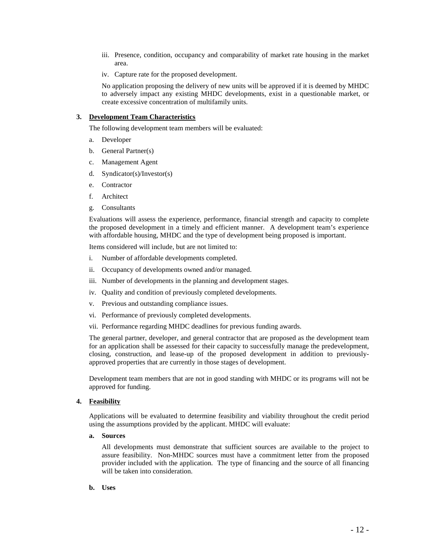- iii. Presence, condition, occupancy and comparability of market rate housing in the market area.
- iv. Capture rate for the proposed development.

No application proposing the delivery of new units will be approved if it is deemed by MHDC to adversely impact any existing MHDC developments, exist in a questionable market, or create excessive concentration of multifamily units.

#### **3. Development Team Characteristics**

The following development team members will be evaluated:

- a. Developer
- b. General Partner(s)
- c. Management Agent
- d. Syndicator(s)/Investor(s)
- e. Contractor
- f. Architect
- g. Consultants

Evaluations will assess the experience, performance, financial strength and capacity to complete the proposed development in a timely and efficient manner. A development team's experience with affordable housing, MHDC and the type of development being proposed is important.

Items considered will include, but are not limited to:

- i. Number of affordable developments completed.
- ii. Occupancy of developments owned and/or managed.
- iii. Number of developments in the planning and development stages.
- iv. Quality and condition of previously completed developments.
- v. Previous and outstanding compliance issues.
- vi. Performance of previously completed developments.
- vii. Performance regarding MHDC deadlines for previous funding awards.

The general partner, developer, and general contractor that are proposed as the development team for an application shall be assessed for their capacity to successfully manage the predevelopment, closing, construction, and lease-up of the proposed development in addition to previouslyapproved properties that are currently in those stages of development.

Development team members that are not in good standing with MHDC or its programs will not be approved for funding.

#### **4. Feasibility**

Applications will be evaluated to determine feasibility and viability throughout the credit period using the assumptions provided by the applicant. MHDC will evaluate:

#### **a. Sources**

All developments must demonstrate that sufficient sources are available to the project to assure feasibility. Non-MHDC sources must have a commitment letter from the proposed provider included with the application. The type of financing and the source of all financing will be taken into consideration.

#### **b. Uses**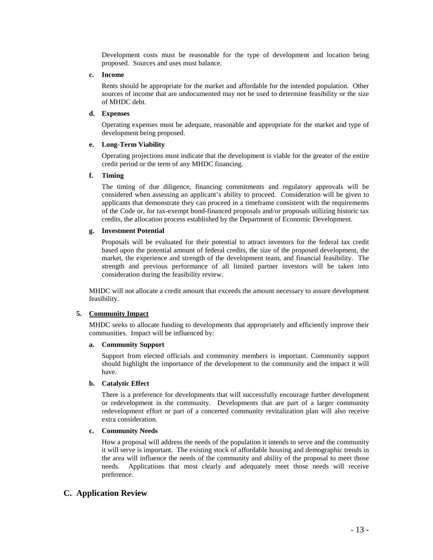Development costs must be reasonable for the type of development and location being proposed. Sources and uses must balance.

#### **c. Income**

Rents should be appropriate for the market and affordable for the intended population. Other sources of income that are undocumented may not be used to determine feasibility or the size of MHDC debt.

#### **d. Expenses**

Operating expenses must be adequate, reasonable and appropriate for the market and type of development being proposed.

#### **e. Long-Term Viability**

Operating projections must indicate that the development is viable for the greater of the entire credit period or the term of any MHDC financing.

#### **f. Timing**

The timing of due diligence, financing commitments and regulatory approvals will be considered when assessing an applicant's ability to proceed. Consideration will be given to applicants that demonstrate they can proceed in a timeframe consistent with the requirements of the Code or, for tax-exempt bond-financed proposals and/or proposals utilizing historic tax credits, the allocation process established by the Department of Economic Development.

#### **g. Investment Potential**

Proposals will be evaluated for their potential to attract investors for the federal tax credit based upon the potential amount of federal credits, the size of the proposed development, the market, the experience and strength of the development team, and financial feasibility. The strength and previous performance of all limited partner investors will be taken into consideration during the feasibility review.

MHDC will not allocate a credit amount that exceeds the amount necessary to assure development feasibility.

#### **5. Community Impact**

MHDC seeks to allocate funding to developments that appropriately and efficiently improve their communities. Impact will be influenced by:

#### **a. Community Support**

Support from elected officials and community members is important. Community support should highlight the importance of the development to the community and the impact it will have.

#### **b. Catalytic Effect**

There is a preference for developments that will successfully encourage further development or redevelopment in the community. Developments that are part of a larger community redevelopment effort or part of a concerted community revitalization plan will also receive extra consideration.

#### **c. Community Needs**

How a proposal will address the needs of the population it intends to serve and the community it will serve is important. The existing stock of affordable housing and demographic trends in the area will influence the needs of the community and ability of the proposal to meet those needs. Applications that most clearly and adequately meet those needs will receive preference.

## **C. Application Review**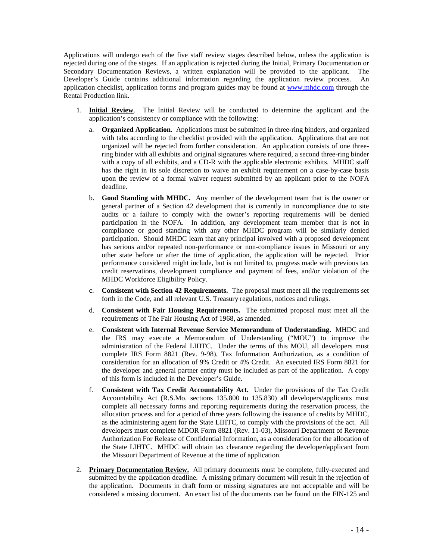Applications will undergo each of the five staff review stages described below, unless the application is rejected during one of the stages. If an application is rejected during the Initial, Primary Documentation or Secondary Documentation Reviews, a written explanation will be provided to the applicant. The Developer's Guide contains additional information regarding the application review process. An application checklist, application forms and program guides may be found at [www.mhdc.com](http://www.mhdc.com/) through the Rental Production link.

- 1. **Initial Review**. The Initial Review will be conducted to determine the applicant and the application's consistency or compliance with the following:
	- a. **Organized Application.** Applications must be submitted in three-ring binders, and organized with tabs according to the checklist provided with the application. Applications that are not organized will be rejected from further consideration. An application consists of one threering binder with all exhibits and original signatures where required, a second three-ring binder with a copy of all exhibits, and a CD-R with the applicable electronic exhibits. MHDC staff has the right in its sole discretion to waive an exhibit requirement on a case-by-case basis upon the review of a formal waiver request submitted by an applicant prior to the NOFA deadline.
	- b. **Good Standing with MHDC.** Any member of the development team that is the owner or general partner of a Section 42 development that is currently in noncompliance due to site audits or a failure to comply with the owner's reporting requirements will be denied participation in the NOFA. In addition, any development team member that is not in compliance or good standing with any other MHDC program will be similarly denied participation. Should MHDC learn that any principal involved with a proposed development has serious and/or repeated non-performance or non-compliance issues in Missouri or any other state before or after the time of application, the application will be rejected. Prior performance considered might include, but is not limited to, progress made with previous tax credit reservations, development compliance and payment of fees, and/or violation of the MHDC Workforce Eligibility Policy.
	- c. **Consistent with Section 42 Requirements.** The proposal must meet all the requirements set forth in the Code, and all relevant U.S. Treasury regulations, notices and rulings.
	- d. **Consistent with Fair Housing Requirements.** The submitted proposal must meet all the requirements of The Fair Housing Act of 1968, as amended.
	- e. **Consistent with Internal Revenue Service Memorandum of Understanding.** MHDC and the IRS may execute a Memorandum of Understanding ("MOU") to improve the administration of the Federal LIHTC. Under the terms of this MOU, all developers must complete IRS Form 8821 (Rev. 9-98), Tax Information Authorization, as a condition of consideration for an allocation of 9% Credit or 4% Credit. An executed IRS Form 8821 for the developer and general partner entity must be included as part of the application. A copy of this form is included in the Developer's Guide.
	- f. **Consistent with Tax Credit Accountability Act.** Under the provisions of the Tax Credit Accountability Act (R.S.Mo. sections 135.800 to 135.830) all developers/applicants must complete all necessary forms and reporting requirements during the reservation process, the allocation process and for a period of three years following the issuance of credits by MHDC, as the administering agent for the State LIHTC, to comply with the provisions of the act. All developers must complete MDOR Form 8821 (Rev. 11-03), Missouri Department of Revenue Authorization For Release of Confidential Information, as a consideration for the allocation of the State LIHTC. MHDC will obtain tax clearance regarding the developer/applicant from the Missouri Department of Revenue at the time of application.
- 2. **Primary Documentation Review.** All primary documents must be complete, fully-executed and submitted by the application deadline. A missing primary document will result in the rejection of the application. Documents in draft form or missing signatures are not acceptable and will be considered a missing document. An exact list of the documents can be found on the FIN-125 and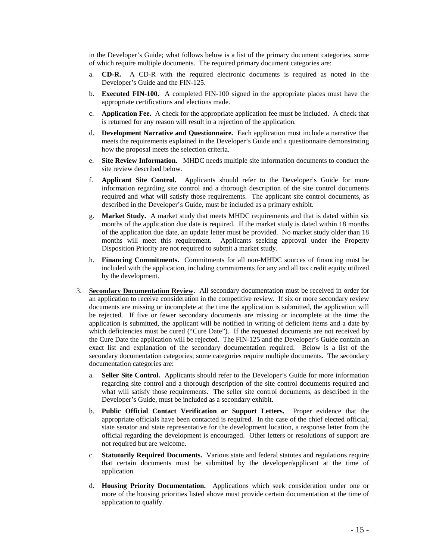in the Developer's Guide; what follows below is a list of the primary document categories, some of which require multiple documents. The required primary document categories are:

- a. **CD-R.** A CD-R with the required electronic documents is required as noted in the Developer's Guide and the FIN-125.
- b. **Executed FIN-100.** A completed FIN-100 signed in the appropriate places must have the appropriate certifications and elections made.
- c. **Application Fee.** A check for the appropriate application fee must be included. A check that is returned for any reason will result in a rejection of the application.
- d. **Development Narrative and Questionnaire.** Each application must include a narrative that meets the requirements explained in the Developer's Guide and a questionnaire demonstrating how the proposal meets the selection criteria.
- e. **Site Review Information.** MHDC needs multiple site information documents to conduct the site review described below.
- f. **Applicant Site Control.** Applicants should refer to the Developer's Guide for more information regarding site control and a thorough description of the site control documents required and what will satisfy those requirements. The applicant site control documents, as described in the Developer's Guide, must be included as a primary exhibit.
- g. **Market Study.** A market study that meets MHDC requirements and that is dated within six months of the application due date is required. If the market study is dated within 18 months of the application due date, an update letter must be provided. No market study older than 18 months will meet this requirement. Applicants seeking approval under the Property Disposition Priority are not required to submit a market study.
- h. **Financing Commitments.** Commitments for all non-MHDC sources of financing must be included with the application, including commitments for any and all tax credit equity utilized by the development.
- 3. **Secondary Documentation Review**. All secondary documentation must be received in order for an application to receive consideration in the competitive review. If six or more secondary review documents are missing or incomplete at the time the application is submitted, the application will be rejected. If five or fewer secondary documents are missing or incomplete at the time the application is submitted, the applicant will be notified in writing of deficient items and a date by which deficiencies must be cured ("Cure Date"). If the requested documents are not received by the Cure Date the application will be rejected. The FIN-125 and the Developer's Guide contain an exact list and explanation of the secondary documentation required. Below is a list of the secondary documentation categories; some categories require multiple documents. The secondary documentation categories are:
	- a. **Seller Site Control.** Applicants should refer to the Developer's Guide for more information regarding site control and a thorough description of the site control documents required and what will satisfy those requirements. The seller site control documents, as described in the Developer's Guide, must be included as a secondary exhibit.
	- b. **Public Official Contact Verification or Support Letters.** Proper evidence that the appropriate officials have been contacted is required. In the case of the chief elected official, state senator and state representative for the development location, a response letter from the official regarding the development is encouraged. Other letters or resolutions of support are not required but are welcome.
	- c. **Statutorily Required Documents.** Various state and federal statutes and regulations require that certain documents must be submitted by the developer/applicant at the time of application.
	- d. **Housing Priority Documentation.** Applications which seek consideration under one or more of the housing priorities listed above must provide certain documentation at the time of application to qualify.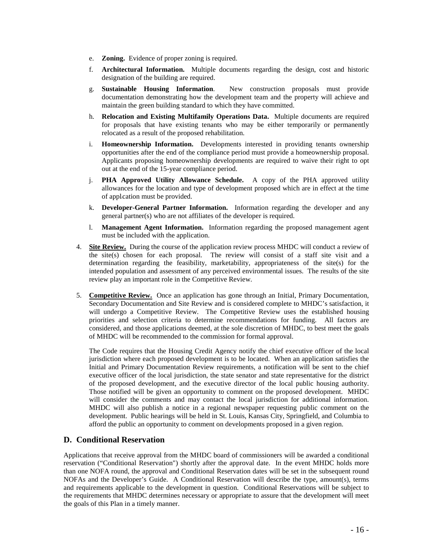- e. **Zoning.** Evidence of proper zoning is required.
- f. **Architectural Information.** Multiple documents regarding the design, cost and historic designation of the building are required.
- g. **Sustainable Housing Information**. New construction proposals must provide documentation demonstrating how the development team and the property will achieve and maintain the green building standard to which they have committed.
- h. **Relocation and Existing Multifamily Operations Data.** Multiple documents are required for proposals that have existing tenants who may be either temporarily or permanently relocated as a result of the proposed rehabilitation.
- i. **Homeownership Information.** Developments interested in providing tenants ownership opportunities after the end of the compliance period must provide a homeownership proposal. Applicants proposing homeownership developments are required to waive their right to opt out at the end of the 15-year compliance period.
- j. **PHA Approved Utility Allowance Schedule.** A copy of the PHA approved utility allowances for the location and type of development proposed which are in effect at the time of application must be provided.
- k. **Developer-General Partner Information.** Information regarding the developer and any general partner(s) who are not affiliates of the developer is required.
- l. **Management Agent Information.** Information regarding the proposed management agent must be included with the application.
- 4. **Site Review.** During the course of the application review process MHDC will conduct a review of the site(s) chosen for each proposal. The review will consist of a staff site visit and a determination regarding the feasibility, marketability, appropriateness of the site(s) for the intended population and assessment of any perceived environmental issues. The results of the site review play an important role in the Competitive Review.
- 5. **Competitive Review.** Once an application has gone through an Initial, Primary Documentation, Secondary Documentation and Site Review and is considered complete to MHDC's satisfaction, it will undergo a Competitive Review. The Competitive Review uses the established housing priorities and selection criteria to determine recommendations for funding. All factors are considered, and those applications deemed, at the sole discretion of MHDC, to best meet the goals of MHDC will be recommended to the commission for formal approval.

The Code requires that the Housing Credit Agency notify the chief executive officer of the local jurisdiction where each proposed development is to be located. When an application satisfies the Initial and Primary Documentation Review requirements, a notification will be sent to the chief executive officer of the local jurisdiction, the state senator and state representative for the district of the proposed development, and the executive director of the local public housing authority. Those notified will be given an opportunity to comment on the proposed development. MHDC will consider the comments and may contact the local jurisdiction for additional information. MHDC will also publish a notice in a regional newspaper requesting public comment on the development. Public hearings will be held in St. Louis, Kansas City, Springfield, and Columbia to afford the public an opportunity to comment on developments proposed in a given region.

## **D. Conditional Reservation**

Applications that receive approval from the MHDC board of commissioners will be awarded a conditional reservation ("Conditional Reservation") shortly after the approval date. In the event MHDC holds more than one NOFA round, the approval and Conditional Reservation dates will be set in the subsequent round NOFAs and the Developer's Guide. A Conditional Reservation will describe the type, amount(s), terms and requirements applicable to the development in question. Conditional Reservations will be subject to the requirements that MHDC determines necessary or appropriate to assure that the development will meet the goals of this Plan in a timely manner.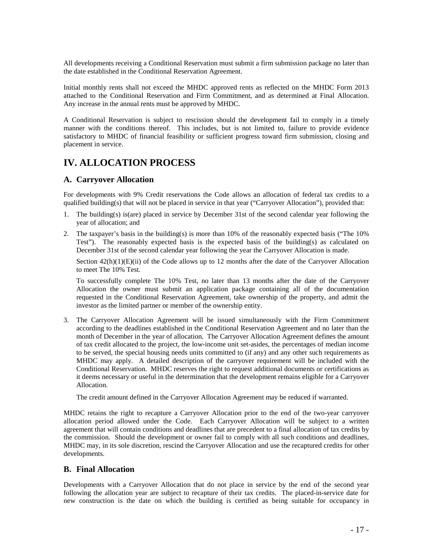All developments receiving a Conditional Reservation must submit a firm submission package no later than the date established in the Conditional Reservation Agreement.

Initial monthly rents shall not exceed the MHDC approved rents as reflected on the MHDC Form 2013 attached to the Conditional Reservation and Firm Commitment, and as determined at Final Allocation. Any increase in the annual rents must be approved by MHDC.

A Conditional Reservation is subject to rescission should the development fail to comply in a timely manner with the conditions thereof. This includes, but is not limited to, failure to provide evidence satisfactory to MHDC of financial feasibility or sufficient progress toward firm submission, closing and placement in service.

## **IV. ALLOCATION PROCESS**

## **A. Carryover Allocation**

For developments with 9% Credit reservations the Code allows an allocation of federal tax credits to a qualified building(s) that will not be placed in service in that year ("Carryover Allocation"), provided that:

- 1. The building(s) is(are) placed in service by December 31st of the second calendar year following the year of allocation; and
- 2. The taxpayer's basis in the building(s) is more than 10% of the reasonably expected basis ("The 10% Test"). The reasonably expected basis is the expected basis of the building(s) as calculated on December 31st of the second calendar year following the year the Carryover Allocation is made.

Section  $42(h)(1)(E)(ii)$  of the Code allows up to 12 months after the date of the Carryover Allocation to meet The 10% Test.

To successfully complete The 10% Test, no later than 13 months after the date of the Carryover Allocation the owner must submit an application package containing all of the documentation requested in the Conditional Reservation Agreement, take ownership of the property, and admit the investor as the limited partner or member of the ownership entity.

3. The Carryover Allocation Agreement will be issued simultaneously with the Firm Commitment according to the deadlines established in the Conditional Reservation Agreement and no later than the month of December in the year of allocation. The Carryover Allocation Agreement defines the amount of tax credit allocated to the project, the low-income unit set-asides, the percentages of median income to be served, the special housing needs units committed to (if any) and any other such requirements as MHDC may apply. A detailed description of the carryover requirement will be included with the Conditional Reservation. MHDC reserves the right to request additional documents or certifications as it deems necessary or useful in the determination that the development remains eligible for a Carryover Allocation.

The credit amount defined in the Carryover Allocation Agreement may be reduced if warranted.

MHDC retains the right to recapture a Carryover Allocation prior to the end of the two-year carryover allocation period allowed under the Code. Each Carryover Allocation will be subject to a written agreement that will contain conditions and deadlines that are precedent to a final allocation of tax credits by the commission. Should the development or owner fail to comply with all such conditions and deadlines, MHDC may, in its sole discretion, rescind the Carryover Allocation and use the recaptured credits for other developments.

### **B. Final Allocation**

Developments with a Carryover Allocation that do not place in service by the end of the second year following the allocation year are subject to recapture of their tax credits. The placed-in-service date for new construction is the date on which the building is certified as being suitable for occupancy in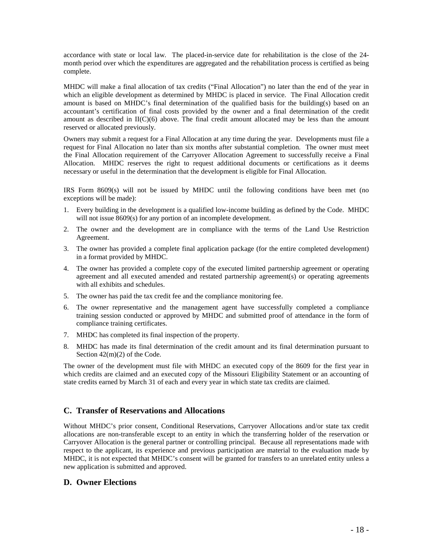accordance with state or local law. The placed-in-service date for rehabilitation is the close of the 24 month period over which the expenditures are aggregated and the rehabilitation process is certified as being complete.

MHDC will make a final allocation of tax credits ("Final Allocation") no later than the end of the year in which an eligible development as determined by MHDC is placed in service. The Final Allocation credit amount is based on MHDC's final determination of the qualified basis for the building(s) based on an accountant's certification of final costs provided by the owner and a final determination of the credit amount as described in II(C)(6) above. The final credit amount allocated may be less than the amount reserved or allocated previously.

Owners may submit a request for a Final Allocation at any time during the year. Developments must file a request for Final Allocation no later than six months after substantial completion. The owner must meet the Final Allocation requirement of the Carryover Allocation Agreement to successfully receive a Final Allocation. MHDC reserves the right to request additional documents or certifications as it deems necessary or useful in the determination that the development is eligible for Final Allocation.

IRS Form 8609(s) will not be issued by MHDC until the following conditions have been met (no exceptions will be made):

- 1. Every building in the development is a qualified low-income building as defined by the Code. MHDC will not issue 8609(s) for any portion of an incomplete development.
- 2. The owner and the development are in compliance with the terms of the Land Use Restriction Agreement.
- 3. The owner has provided a complete final application package (for the entire completed development) in a format provided by MHDC.
- 4. The owner has provided a complete copy of the executed limited partnership agreement or operating agreement and all executed amended and restated partnership agreement(s) or operating agreements with all exhibits and schedules.
- 5. The owner has paid the tax credit fee and the compliance monitoring fee.
- 6. The owner representative and the management agent have successfully completed a compliance training session conducted or approved by MHDC and submitted proof of attendance in the form of compliance training certificates.
- 7. MHDC has completed its final inspection of the property.
- 8. MHDC has made its final determination of the credit amount and its final determination pursuant to Section 42(m)(2) of the Code.

The owner of the development must file with MHDC an executed copy of the 8609 for the first year in which credits are claimed and an executed copy of the Missouri Eligibility Statement or an accounting of state credits earned by March 31 of each and every year in which state tax credits are claimed.

### **C. Transfer of Reservations and Allocations**

Without MHDC's prior consent, Conditional Reservations, Carryover Allocations and/or state tax credit allocations are non-transferable except to an entity in which the transferring holder of the reservation or Carryover Allocation is the general partner or controlling principal. Because all representations made with respect to the applicant, its experience and previous participation are material to the evaluation made by MHDC, it is not expected that MHDC's consent will be granted for transfers to an unrelated entity unless a new application is submitted and approved.

### **D. Owner Elections**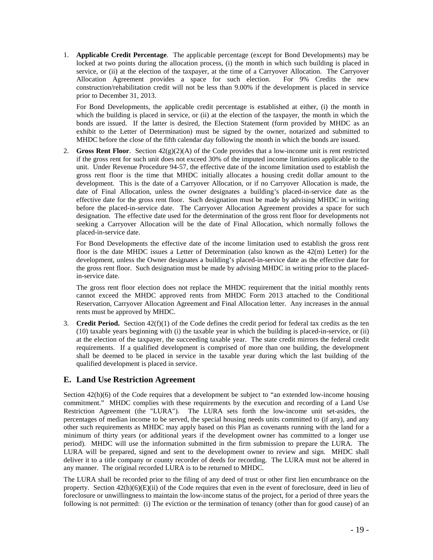1. **Applicable Credit Percentage**. The applicable percentage (except for Bond Developments) may be locked at two points during the allocation process, (i) the month in which such building is placed in service, or (ii) at the election of the taxpayer, at the time of a Carryover Allocation. The Carryover Allocation Agreement provides a space for such election. For 9% Credits the new construction/rehabilitation credit will not be less than 9.00% if the development is placed in service prior to December 31, 2013.

For Bond Developments, the applicable credit percentage is established at either, (i) the month in which the building is placed in service, or (ii) at the election of the taxpayer, the month in which the bonds are issued. If the latter is desired, the Election Statement (form provided by MHDC as an exhibit to the Letter of Determination) must be signed by the owner, notarized and submitted to MHDC before the close of the fifth calendar day following the month in which the bonds are issued.

2. **Gross Rent Floor**. Section  $42(g)(2)(A)$  of the Code provides that a low-income unit is rent restricted if the gross rent for such unit does not exceed 30% of the imputed income limitations applicable to the unit. Under Revenue Procedure 94-57, the effective date of the income limitation used to establish the gross rent floor is the time that MHDC initially allocates a housing credit dollar amount to the development. This is the date of a Carryover Allocation, or if no Carryover Allocation is made, the date of Final Allocation, unless the owner designates a building's placed-in-service date as the effective date for the gross rent floor. Such designation must be made by advising MHDC in writing before the placed-in-service date. The Carryover Allocation Agreement provides a space for such designation. The effective date used for the determination of the gross rent floor for developments not seeking a Carryover Allocation will be the date of Final Allocation, which normally follows the placed-in-service date.

For Bond Developments the effective date of the income limitation used to establish the gross rent floor is the date MHDC issues a Letter of Determination (also known as the  $42(m)$  Letter) for the development, unless the Owner designates a building's placed-in-service date as the effective date for the gross rent floor. Such designation must be made by advising MHDC in writing prior to the placedin-service date.

The gross rent floor election does not replace the MHDC requirement that the initial monthly rents cannot exceed the MHDC approved rents from MHDC Form 2013 attached to the Conditional Reservation, Carryover Allocation Agreement and Final Allocation letter. Any increases in the annual rents must be approved by MHDC.

3. **Credit Period.** Section  $42(f)(1)$  of the Code defines the credit period for federal tax credits as the ten (10) taxable years beginning with (i) the taxable year in which the building is placed-in-service, or (ii) at the election of the taxpayer, the succeeding taxable year. The state credit mirrors the federal credit requirements. If a qualified development is comprised of more than one building, the development shall be deemed to be placed in service in the taxable year during which the last building of the qualified development is placed in service.

## **E. Land Use Restriction Agreement**

Section  $42(h)(6)$  of the Code requires that a development be subject to "an extended low-income housing commitment." MHDC complies with these requirements by the execution and recording of a Land Use Restriction Agreement (the "LURA"). The LURA sets forth the low-income unit set-asides, the percentages of median income to be served, the special housing needs units committed to (if any), and any other such requirements as MHDC may apply based on this Plan as covenants running with the land for a minimum of thirty years (or additional years if the development owner has committed to a longer use period). MHDC will use the information submitted in the firm submission to prepare the LURA. The LURA will be prepared, signed and sent to the development owner to review and sign. MHDC shall deliver it to a title company or county recorder of deeds for recording. The LURA must not be altered in any manner. The original recorded LURA is to be returned to MHDC.

The LURA shall be recorded prior to the filing of any deed of trust or other first lien encumbrance on the property. Section  $42(h)(6)(E)(ii)$  of the Code requires that even in the event of foreclosure, deed in lieu of foreclosure or unwillingness to maintain the low-income status of the project, for a period of three years the following is not permitted: (i) The eviction or the termination of tenancy (other than for good cause) of an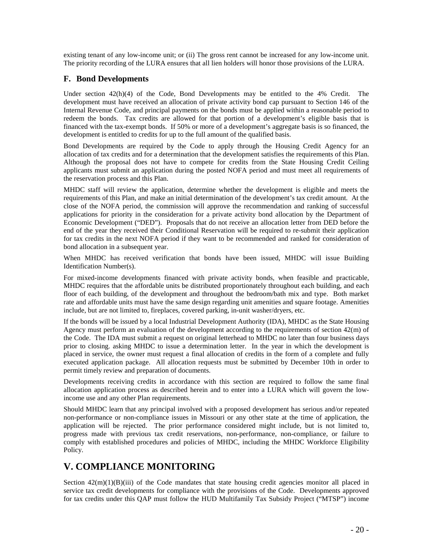existing tenant of any low-income unit; or (ii) The gross rent cannot be increased for any low-income unit. The priority recording of the LURA ensures that all lien holders will honor those provisions of the LURA.

### **F. Bond Developments**

Under section 42(h)(4) of the Code, Bond Developments may be entitled to the 4% Credit. The development must have received an allocation of private activity bond cap pursuant to Section 146 of the Internal Revenue Code, and principal payments on the bonds must be applied within a reasonable period to redeem the bonds. Tax credits are allowed for that portion of a development's eligible basis that is financed with the tax-exempt bonds. If 50% or more of a development's aggregate basis is so financed, the development is entitled to credits for up to the full amount of the qualified basis.

Bond Developments are required by the Code to apply through the Housing Credit Agency for an allocation of tax credits and for a determination that the development satisfies the requirements of this Plan. Although the proposal does not have to compete for credits from the State Housing Credit Ceiling applicants must submit an application during the posted NOFA period and must meet all requirements of the reservation process and this Plan.

MHDC staff will review the application, determine whether the development is eligible and meets the requirements of this Plan, and make an initial determination of the development's tax credit amount. At the close of the NOFA period, the commission will approve the recommendation and ranking of successful applications for priority in the consideration for a private activity bond allocation by the Department of Economic Development ("DED"). Proposals that do not receive an allocation letter from DED before the end of the year they received their Conditional Reservation will be required to re-submit their application for tax credits in the next NOFA period if they want to be recommended and ranked for consideration of bond allocation in a subsequent year.

When MHDC has received verification that bonds have been issued, MHDC will issue Building Identification Number(s).

For mixed-income developments financed with private activity bonds, when feasible and practicable, MHDC requires that the affordable units be distributed proportionately throughout each building, and each floor of each building, of the development and throughout the bedroom/bath mix and type. Both market rate and affordable units must have the same design regarding unit amenities and square footage. Amenities include, but are not limited to, fireplaces, covered parking, in-unit washer/dryers, etc.

If the bonds will be issued by a local Industrial Development Authority (IDA), MHDC as the State Housing Agency must perform an evaluation of the development according to the requirements of section 42(m) of the Code. The IDA must submit a request on original letterhead to MHDC no later than four business days prior to closing. asking MHDC to issue a determination letter. In the year in which the development is placed in service, the owner must request a final allocation of credits in the form of a complete and fully executed application package. All allocation requests must be submitted by December 10th in order to permit timely review and preparation of documents.

Developments receiving credits in accordance with this section are required to follow the same final allocation application process as described herein and to enter into a LURA which will govern the lowincome use and any other Plan requirements.

Should MHDC learn that any principal involved with a proposed development has serious and/or repeated non-performance or non-compliance issues in Missouri or any other state at the time of application, the application will be rejected. The prior performance considered might include, but is not limited to, progress made with previous tax credit reservations, non-performance, non-compliance, or failure to comply with established procedures and policies of MHDC, including the MHDC Workforce Eligibility Policy.

## **V. COMPLIANCE MONITORING**

Section  $42(m)(1)(B)(iii)$  of the Code mandates that state housing credit agencies monitor all placed in service tax credit developments for compliance with the provisions of the Code. Developments approved for tax credits under this QAP must follow the HUD Multifamily Tax Subsidy Project ("MTSP") income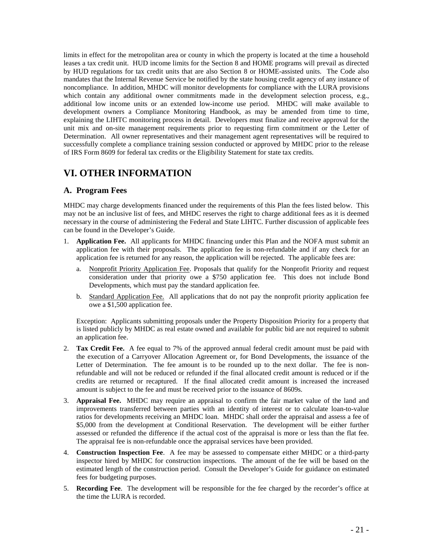limits in effect for the metropolitan area or county in which the property is located at the time a household leases a tax credit unit. HUD income limits for the Section 8 and HOME programs will prevail as directed by HUD regulations for tax credit units that are also Section 8 or HOME-assisted units. The Code also mandates that the Internal Revenue Service be notified by the state housing credit agency of any instance of noncompliance. In addition, MHDC will monitor developments for compliance with the LURA provisions which contain any additional owner commitments made in the development selection process, e.g., additional low income units or an extended low-income use period. MHDC will make available to development owners a Compliance Monitoring Handbook, as may be amended from time to time, explaining the LIHTC monitoring process in detail. Developers must finalize and receive approval for the unit mix and on-site management requirements prior to requesting firm commitment or the Letter of Determination. All owner representatives and their management agent representatives will be required to successfully complete a compliance training session conducted or approved by MHDC prior to the release of IRS Form 8609 for federal tax credits or the Eligibility Statement for state tax credits.

## **VI. OTHER INFORMATION**

## **A. Program Fees**

MHDC may charge developments financed under the requirements of this Plan the fees listed below. This may not be an inclusive list of fees, and MHDC reserves the right to charge additional fees as it is deemed necessary in the course of administering the Federal and State LIHTC. Further discussion of applicable fees can be found in the Developer's Guide.

- 1. **Application Fee.** All applicants for MHDC financing under this Plan and the NOFA must submit an application fee with their proposals. The application fee is non-refundable and if any check for an application fee is returned for any reason, the application will be rejected. The applicable fees are:
	- a. Nonprofit Priority Application Fee. Proposals that qualify for the Nonprofit Priority and request consideration under that priority owe a \$750 application fee. This does not include Bond Developments, which must pay the standard application fee.
	- b. Standard Application Fee. All applications that do not pay the nonprofit priority application fee owe a \$1,500 application fee.

Exception: Applicants submitting proposals under the Property Disposition Priority for a property that is listed publicly by MHDC as real estate owned and available for public bid are not required to submit an application fee.

- 2. **Tax Credit Fee.** A fee equal to 7% of the approved annual federal credit amount must be paid with the execution of a Carryover Allocation Agreement or, for Bond Developments, the issuance of the Letter of Determination. The fee amount is to be rounded up to the next dollar. The fee is nonrefundable and will not be reduced or refunded if the final allocated credit amount is reduced or if the credits are returned or recaptured. If the final allocated credit amount is increased the increased amount is subject to the fee and must be received prior to the issuance of 8609s.
- 3. **Appraisal Fee.** MHDC may require an appraisal to confirm the fair market value of the land and improvements transferred between parties with an identity of interest or to calculate loan-to-value ratios for developments receiving an MHDC loan. MHDC shall order the appraisal and assess a fee of \$5,000 from the development at Conditional Reservation. The development will be either further assessed or refunded the difference if the actual cost of the appraisal is more or less than the flat fee. The appraisal fee is non-refundable once the appraisal services have been provided.
- 4. **Construction Inspection Fee**. A fee may be assessed to compensate either MHDC or a third-party inspector hired by MHDC for construction inspections. The amount of the fee will be based on the estimated length of the construction period. Consult the Developer's Guide for guidance on estimated fees for budgeting purposes.
- 5. **Recording Fee**. The development will be responsible for the fee charged by the recorder's office at the time the LURA is recorded.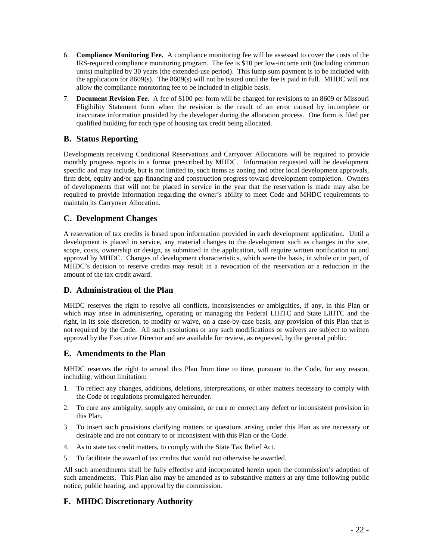- 6. **Compliance Monitoring Fee.** A compliance monitoring fee will be assessed to cover the costs of the IRS-required compliance monitoring program. The fee is \$10 per low-income unit (including common units) multiplied by 30 years (the extended-use period). This lump sum payment is to be included with the application for 8609(s). The 8609(s) will not be issued until the fee is paid in full. MHDC will not allow the compliance monitoring fee to be included in eligible basis.
- 7. **Document Revision Fee.** A fee of \$100 per form will be charged for revisions to an 8609 or Missouri Eligibility Statement form when the revision is the result of an error caused by incomplete or inaccurate information provided by the developer during the allocation process. One form is filed per qualified building for each type of housing tax credit being allocated.

## **B. Status Reporting**

Developments receiving Conditional Reservations and Carryover Allocations will be required to provide monthly progress reports in a format prescribed by MHDC. Information requested will be development specific and may include, but is not limited to, such items as zoning and other local development approvals, firm debt, equity and/or gap financing and construction progress toward development completion. Owners of developments that will not be placed in service in the year that the reservation is made may also be required to provide information regarding the owner's ability to meet Code and MHDC requirements to maintain its Carryover Allocation.

## **C. Development Changes**

A reservation of tax credits is based upon information provided in each development application. Until a development is placed in service, any material changes to the development such as changes in the site, scope, costs, ownership or design, as submitted in the application, will require written notification to and approval by MHDC. Changes of development characteristics, which were the basis, in whole or in part, of MHDC's decision to reserve credits may result in a revocation of the reservation or a reduction in the amount of the tax credit award.

## **D. Administration of the Plan**

MHDC reserves the right to resolve all conflicts, inconsistencies or ambiguities, if any, in this Plan or which may arise in administering, operating or managing the Federal LIHTC and State LIHTC and the right, in its sole discretion, to modify or waive, on a case-by-case basis, any provision of this Plan that is not required by the Code. All such resolutions or any such modifications or waivers are subject to written approval by the Executive Director and are available for review, as requested, by the general public.

## **E. Amendments to the Plan**

MHDC reserves the right to amend this Plan from time to time, pursuant to the Code, for any reason, including, without limitation:

- 1. To reflect any changes, additions, deletions, interpretations, or other matters necessary to comply with the Code or regulations promulgated hereunder.
- 2. To cure any ambiguity, supply any omission, or cure or correct any defect or inconsistent provision in this Plan.
- 3. To insert such provisions clarifying matters or questions arising under this Plan as are necessary or desirable and are not contrary to or inconsistent with this Plan or the Code.
- 4. As to state tax credit matters, to comply with the State Tax Relief Act.
- 5. To facilitate the award of tax credits that would not otherwise be awarded.

All such amendments shall be fully effective and incorporated herein upon the commission's adoption of such amendments. This Plan also may be amended as to substantive matters at any time following public notice, public hearing, and approval by the commission.

## **F. MHDC Discretionary Authority**